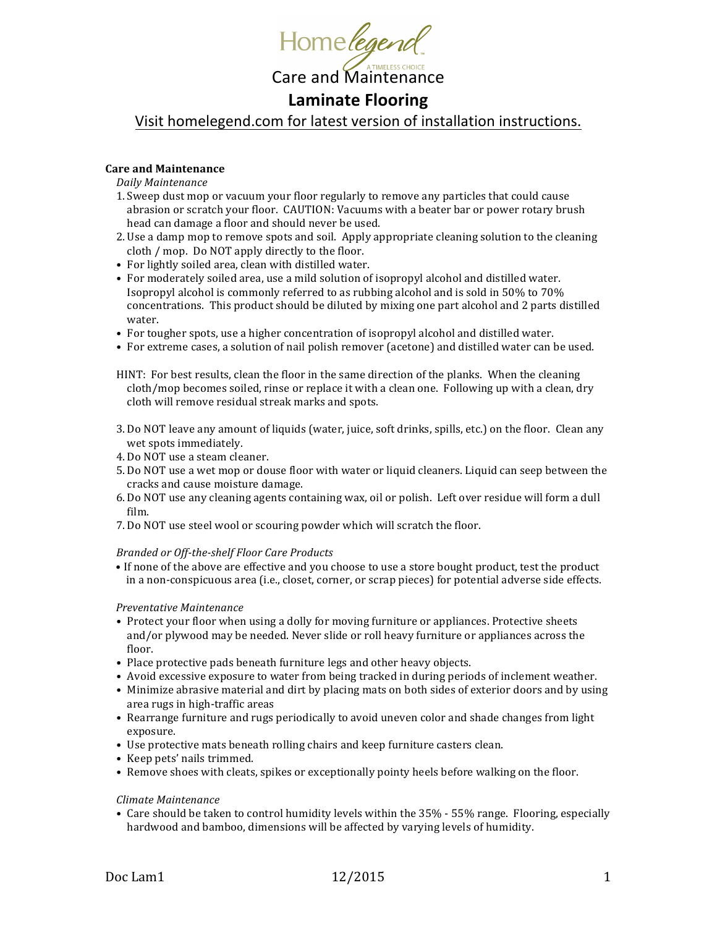

## **Laminate Flooring**

Visit homelegend.com for latest version of installation instructions.

## **Care and Maintenance**

*Daily Maintenance*

- 1. Sweep dust mop or vacuum your floor regularly to remove any particles that could cause abrasion or scratch your floor. CAUTION: Vacuums with a beater bar or power rotary brush head can damage a floor and should never be used.
- 2. Use a damp mop to remove spots and soil. Apply appropriate cleaning solution to the cleaning cloth / mop. Do NOT apply directly to the floor.
- For lightly soiled area, clean with distilled water.
- For moderately soiled area, use a mild solution of isopropyl alcohol and distilled water. Isopropyl alcohol is commonly referred to as rubbing alcohol and is sold in 50% to 70% concentrations. This product should be diluted by mixing one part alcohol and 2 parts distilled water.
- For tougher spots, use a higher concentration of isopropyl alcohol and distilled water.
- For extreme cases, a solution of nail polish remover (acetone) and distilled water can be used.

HINT: For best results, clean the floor in the same direction of the planks. When the cleaning cloth/mop becomes soiled, rinse or replace it with a clean one. Following up with a clean, dry cloth will remove residual streak marks and spots.

- 3. Do NOT leave any amount of liquids (water, juice, soft drinks, spills, etc.) on the floor. Clean any wet spots immediately.
- 4. Do NOT use a steam cleaner.
- 5. Do NOT use a wet mop or douse floor with water or liquid cleaners. Liquid can seep between the cracks and cause moisture damage.
- 6. Do NOT use any cleaning agents containing wax, oil or polish. Left over residue will form a dull film.
- 7. Do NOT use steel wool or scouring powder which will scratch the floor.

#### *Branded or Off-the-shelf Floor Care Products*

• If none of the above are effective and you choose to use a store bought product, test the product in a non-conspicuous area (i.e., closet, corner, or scrap pieces) for potential adverse side effects.

#### *Preventative Maintenance*

- Protect your floor when using a dolly for moving furniture or appliances. Protective sheets and/or plywood may be needed. Never slide or roll heavy furniture or appliances across the floor.
- Place protective pads beneath furniture legs and other heavy objects.
- Avoid excessive exposure to water from being tracked in during periods of inclement weather.
- Minimize abrasive material and dirt by placing mats on both sides of exterior doors and by using area rugs in high-traffic areas
- Rearrange furniture and rugs periodically to avoid uneven color and shade changes from light exposure.
- Use protective mats beneath rolling chairs and keep furniture casters clean.
- Keep pets' nails trimmed.
- Remove shoes with cleats, spikes or exceptionally pointy heels before walking on the floor.

#### *Climate Maintenance*

• Care should be taken to control humidity levels within the 35% - 55% range. Flooring, especially hardwood and bamboo, dimensions will be affected by varying levels of humidity.